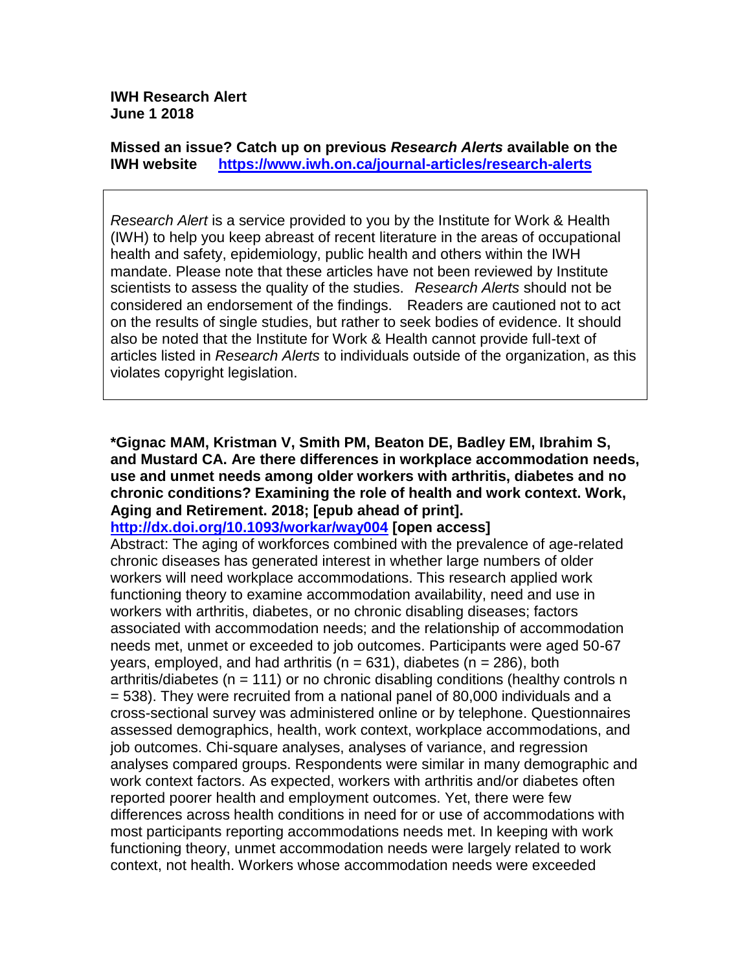#### **Missed an issue? Catch up on previous** *Research Alerts* **available on the [IWH website](http://www.iwh.on.ca/research-alerts) <https://www.iwh.on.ca/journal-articles/research-alerts>**

*Research Alert* is a service provided to you by the Institute for Work & Health (IWH) to help you keep abreast of recent literature in the areas of occupational health and safety, epidemiology, public health and others within the IWH mandate. Please note that these articles have not been reviewed by Institute scientists to assess the quality of the studies. *Research Alerts* should not be considered an endorsement of the findings. Readers are cautioned not to act on the results of single studies, but rather to seek bodies of evidence. It should also be noted that the Institute for Work & Health cannot provide full-text of articles listed in *Research Alerts* to individuals outside of the organization, as this violates copyright legislation.

**\*Gignac MAM, Kristman V, Smith PM, Beaton DE, Badley EM, Ibrahim S, and Mustard CA. Are there differences in workplace accommodation needs, use and unmet needs among older workers with arthritis, diabetes and no chronic conditions? Examining the role of health and work context. Work, Aging and Retirement. 2018; [epub ahead of print].**

#### **<http://dx.doi.org/10.1093/workar/way004> [open access]**

Abstract: The aging of workforces combined with the prevalence of age-related chronic diseases has generated interest in whether large numbers of older workers will need workplace accommodations. This research applied work functioning theory to examine accommodation availability, need and use in workers with arthritis, diabetes, or no chronic disabling diseases; factors associated with accommodation needs; and the relationship of accommodation needs met, unmet or exceeded to job outcomes. Participants were aged 50-67 years, employed, and had arthritis ( $n = 631$ ), diabetes ( $n = 286$ ), both arthritis/diabetes ( $n = 111$ ) or no chronic disabling conditions (healthy controls n = 538). They were recruited from a national panel of 80,000 individuals and a cross-sectional survey was administered online or by telephone. Questionnaires assessed demographics, health, work context, workplace accommodations, and job outcomes. Chi-square analyses, analyses of variance, and regression analyses compared groups. Respondents were similar in many demographic and work context factors. As expected, workers with arthritis and/or diabetes often reported poorer health and employment outcomes. Yet, there were few differences across health conditions in need for or use of accommodations with most participants reporting accommodations needs met. In keeping with work functioning theory, unmet accommodation needs were largely related to work context, not health. Workers whose accommodation needs were exceeded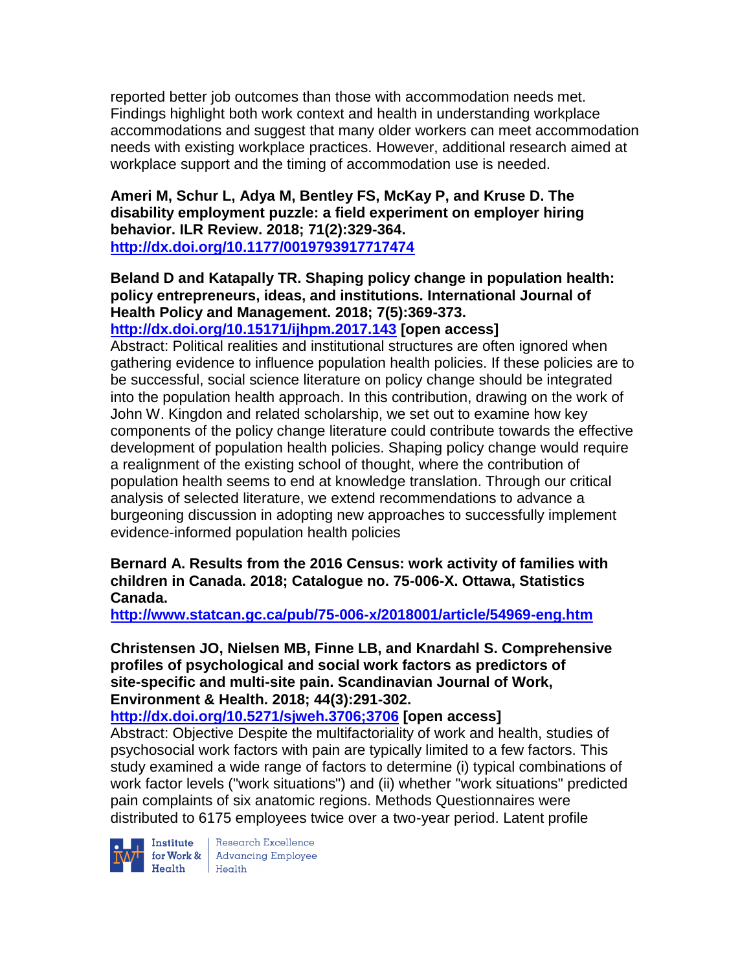reported better job outcomes than those with accommodation needs met. Findings highlight both work context and health in understanding workplace accommodations and suggest that many older workers can meet accommodation needs with existing workplace practices. However, additional research aimed at workplace support and the timing of accommodation use is needed.

### **Ameri M, Schur L, Adya M, Bentley FS, McKay P, and Kruse D. The disability employment puzzle: a field experiment on employer hiring behavior. ILR Review. 2018; 71(2):329-364. <http://dx.doi.org/10.1177/0019793917717474>**

# **Beland D and Katapally TR. Shaping policy change in population health: policy entrepreneurs, ideas, and institutions. International Journal of Health Policy and Management. 2018; 7(5):369-373.**

**<http://dx.doi.org/10.15171/ijhpm.2017.143> [open access]**

Abstract: Political realities and institutional structures are often ignored when gathering evidence to influence population health policies. If these policies are to be successful, social science literature on policy change should be integrated into the population health approach. In this contribution, drawing on the work of John W. Kingdon and related scholarship, we set out to examine how key components of the policy change literature could contribute towards the effective development of population health policies. Shaping policy change would require a realignment of the existing school of thought, where the contribution of population health seems to end at knowledge translation. Through our critical analysis of selected literature, we extend recommendations to advance a burgeoning discussion in adopting new approaches to successfully implement evidence-informed population health policies

### **Bernard A. Results from the 2016 Census: work activity of families with children in Canada. 2018; Catalogue no. 75-006-X. Ottawa, Statistics Canada.**

**<http://www.statcan.gc.ca/pub/75-006-x/2018001/article/54969-eng.htm>**

**Christensen JO, Nielsen MB, Finne LB, and Knardahl S. Comprehensive profiles of psychological and social work factors as predictors of site-specific and multi-site pain. Scandinavian Journal of Work, Environment & Health. 2018; 44(3):291-302.** 

**<http://dx.doi.org/10.5271/sjweh.3706;3706> [open access]**

Abstract: Objective Despite the multifactoriality of work and health, studies of psychosocial work factors with pain are typically limited to a few factors. This study examined a wide range of factors to determine (i) typical combinations of work factor levels ("work situations") and (ii) whether "work situations" predicted pain complaints of six anatomic regions. Methods Questionnaires were distributed to 6175 employees twice over a two-year period. Latent profile

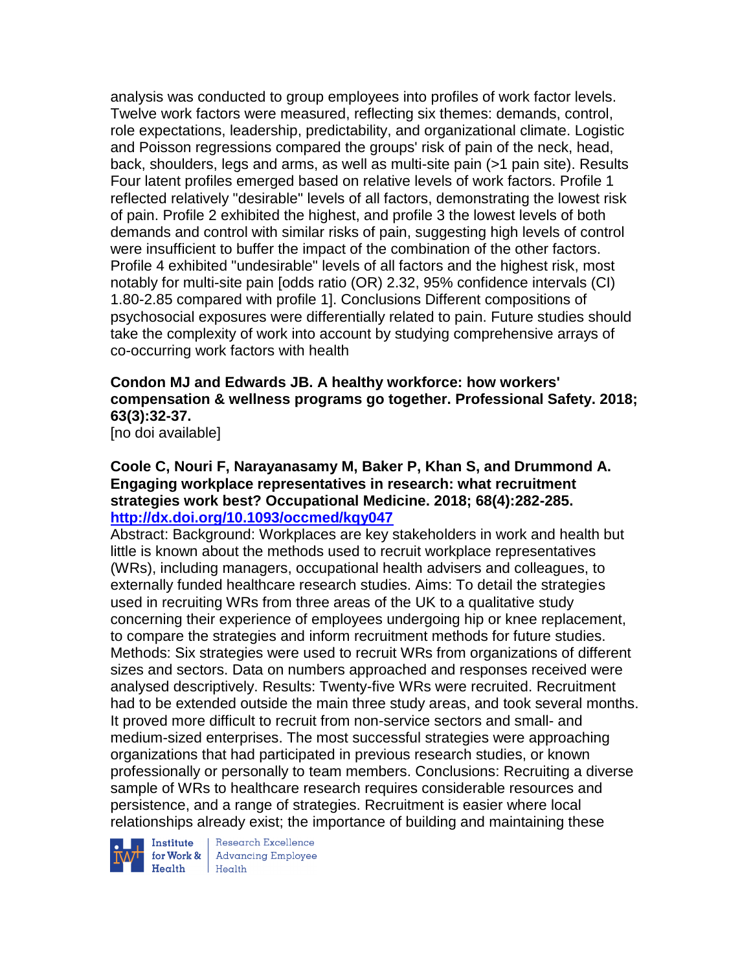analysis was conducted to group employees into profiles of work factor levels. Twelve work factors were measured, reflecting six themes: demands, control, role expectations, leadership, predictability, and organizational climate. Logistic and Poisson regressions compared the groups' risk of pain of the neck, head, back, shoulders, legs and arms, as well as multi-site pain (>1 pain site). Results Four latent profiles emerged based on relative levels of work factors. Profile 1 reflected relatively "desirable" levels of all factors, demonstrating the lowest risk of pain. Profile 2 exhibited the highest, and profile 3 the lowest levels of both demands and control with similar risks of pain, suggesting high levels of control were insufficient to buffer the impact of the combination of the other factors. Profile 4 exhibited "undesirable" levels of all factors and the highest risk, most notably for multi-site pain [odds ratio (OR) 2.32, 95% confidence intervals (CI) 1.80-2.85 compared with profile 1]. Conclusions Different compositions of psychosocial exposures were differentially related to pain. Future studies should take the complexity of work into account by studying comprehensive arrays of co-occurring work factors with health

# **Condon MJ and Edwards JB. A healthy workforce: how workers' compensation & wellness programs go together. Professional Safety. 2018; 63(3):32-37.**

[no doi available]

### **Coole C, Nouri F, Narayanasamy M, Baker P, Khan S, and Drummond A. Engaging workplace representatives in research: what recruitment strategies work best? Occupational Medicine. 2018; 68(4):282-285. <http://dx.doi.org/10.1093/occmed/kqy047>**

Abstract: Background: Workplaces are key stakeholders in work and health but little is known about the methods used to recruit workplace representatives (WRs), including managers, occupational health advisers and colleagues, to externally funded healthcare research studies. Aims: To detail the strategies used in recruiting WRs from three areas of the UK to a qualitative study concerning their experience of employees undergoing hip or knee replacement, to compare the strategies and inform recruitment methods for future studies. Methods: Six strategies were used to recruit WRs from organizations of different sizes and sectors. Data on numbers approached and responses received were analysed descriptively. Results: Twenty-five WRs were recruited. Recruitment had to be extended outside the main three study areas, and took several months. It proved more difficult to recruit from non-service sectors and small- and medium-sized enterprises. The most successful strategies were approaching organizations that had participated in previous research studies, or known professionally or personally to team members. Conclusions: Recruiting a diverse sample of WRs to healthcare research requires considerable resources and persistence, and a range of strategies. Recruitment is easier where local relationships already exist; the importance of building and maintaining these



| Research Excellence for Work & Advancing Employee  $H$ ealth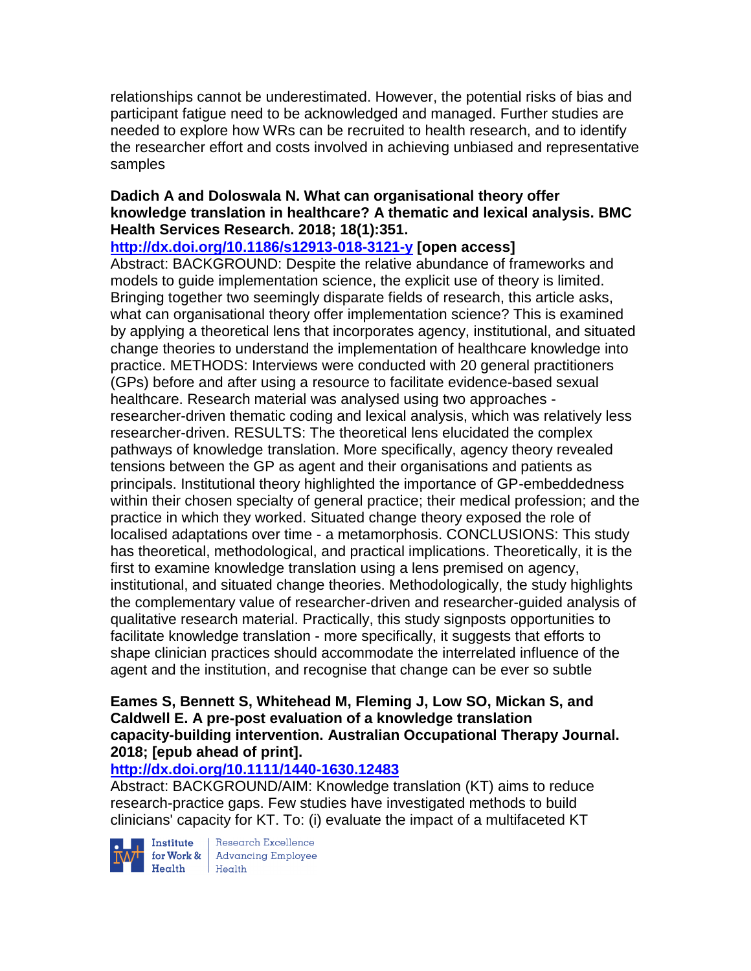relationships cannot be underestimated. However, the potential risks of bias and participant fatigue need to be acknowledged and managed. Further studies are needed to explore how WRs can be recruited to health research, and to identify the researcher effort and costs involved in achieving unbiased and representative samples

# **Dadich A and Doloswala N. What can organisational theory offer knowledge translation in healthcare? A thematic and lexical analysis. BMC Health Services Research. 2018; 18(1):351.**

**<http://dx.doi.org/10.1186/s12913-018-3121-y> [open access]**

Abstract: BACKGROUND: Despite the relative abundance of frameworks and models to guide implementation science, the explicit use of theory is limited. Bringing together two seemingly disparate fields of research, this article asks, what can organisational theory offer implementation science? This is examined by applying a theoretical lens that incorporates agency, institutional, and situated change theories to understand the implementation of healthcare knowledge into practice. METHODS: Interviews were conducted with 20 general practitioners (GPs) before and after using a resource to facilitate evidence-based sexual healthcare. Research material was analysed using two approaches researcher-driven thematic coding and lexical analysis, which was relatively less researcher-driven. RESULTS: The theoretical lens elucidated the complex pathways of knowledge translation. More specifically, agency theory revealed tensions between the GP as agent and their organisations and patients as principals. Institutional theory highlighted the importance of GP-embeddedness within their chosen specialty of general practice; their medical profession; and the practice in which they worked. Situated change theory exposed the role of localised adaptations over time - a metamorphosis. CONCLUSIONS: This study has theoretical, methodological, and practical implications. Theoretically, it is the first to examine knowledge translation using a lens premised on agency, institutional, and situated change theories. Methodologically, the study highlights the complementary value of researcher-driven and researcher-guided analysis of qualitative research material. Practically, this study signposts opportunities to facilitate knowledge translation - more specifically, it suggests that efforts to shape clinician practices should accommodate the interrelated influence of the agent and the institution, and recognise that change can be ever so subtle

### **Eames S, Bennett S, Whitehead M, Fleming J, Low SO, Mickan S, and Caldwell E. A pre-post evaluation of a knowledge translation capacity-building intervention. Australian Occupational Therapy Journal. 2018; [epub ahead of print].**

# **<http://dx.doi.org/10.1111/1440-1630.12483>**

Abstract: BACKGROUND/AIM: Knowledge translation (KT) aims to reduce research-practice gaps. Few studies have investigated methods to build clinicians' capacity for KT. To: (i) evaluate the impact of a multifaceted KT

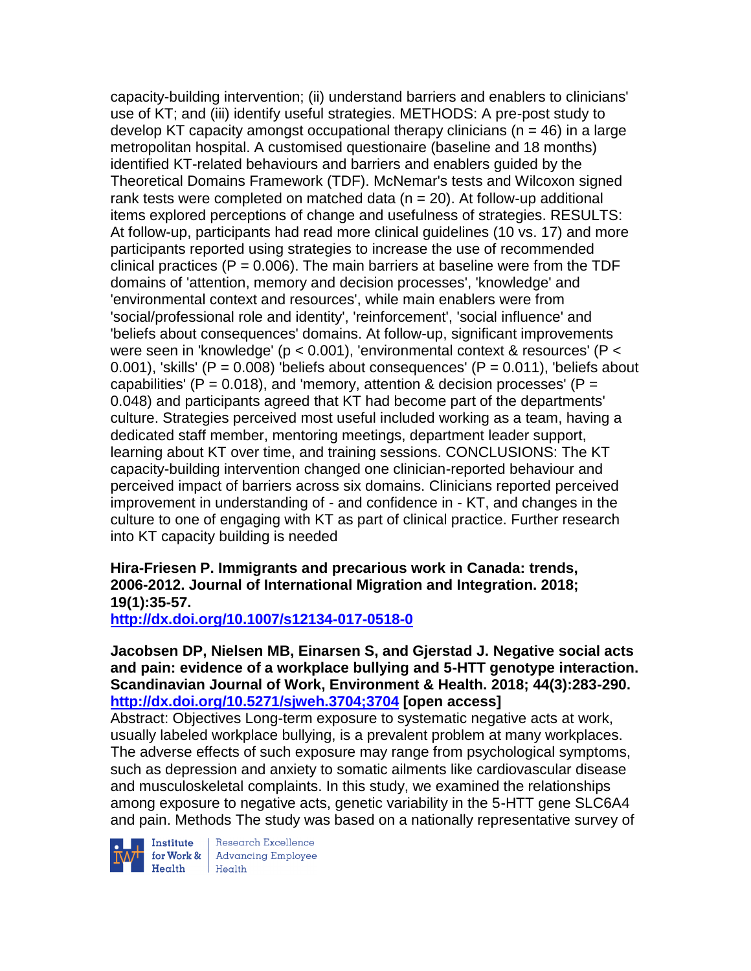capacity-building intervention; (ii) understand barriers and enablers to clinicians' use of KT; and (iii) identify useful strategies. METHODS: A pre-post study to develop KT capacity amongst occupational therapy clinicians ( $n = 46$ ) in a large metropolitan hospital. A customised questionaire (baseline and 18 months) identified KT-related behaviours and barriers and enablers guided by the Theoretical Domains Framework (TDF). McNemar's tests and Wilcoxon signed rank tests were completed on matched data  $(n = 20)$ . At follow-up additional items explored perceptions of change and usefulness of strategies. RESULTS: At follow-up, participants had read more clinical guidelines (10 vs. 17) and more participants reported using strategies to increase the use of recommended clinical practices ( $P = 0.006$ ). The main barriers at baseline were from the TDF domains of 'attention, memory and decision processes', 'knowledge' and 'environmental context and resources', while main enablers were from 'social/professional role and identity', 'reinforcement', 'social influence' and 'beliefs about consequences' domains. At follow-up, significant improvements were seen in 'knowledge' (p < 0.001), 'environmental context & resources' (P < 0.001), 'skills' ( $P = 0.008$ ) 'beliefs about consequences' ( $P = 0.011$ ), 'beliefs about capabilities' ( $P = 0.018$ ), and 'memory, attention & decision processes' ( $P =$ 0.048) and participants agreed that KT had become part of the departments' culture. Strategies perceived most useful included working as a team, having a dedicated staff member, mentoring meetings, department leader support, learning about KT over time, and training sessions. CONCLUSIONS: The KT capacity-building intervention changed one clinician-reported behaviour and perceived impact of barriers across six domains. Clinicians reported perceived improvement in understanding of - and confidence in - KT, and changes in the culture to one of engaging with KT as part of clinical practice. Further research into KT capacity building is needed

**Hira-Friesen P. Immigrants and precarious work in Canada: trends, 2006-2012. Journal of International Migration and Integration. 2018; 19(1):35-57.** 

**<http://dx.doi.org/10.1007/s12134-017-0518-0>**

**Jacobsen DP, Nielsen MB, Einarsen S, and Gjerstad J. Negative social acts and pain: evidence of a workplace bullying and 5-HTT genotype interaction. Scandinavian Journal of Work, Environment & Health. 2018; 44(3):283-290. <http://dx.doi.org/10.5271/sjweh.3704;3704> [open access]**

Abstract: Objectives Long-term exposure to systematic negative acts at work, usually labeled workplace bullying, is a prevalent problem at many workplaces. The adverse effects of such exposure may range from psychological symptoms, such as depression and anxiety to somatic ailments like cardiovascular disease and musculoskeletal complaints. In this study, we examined the relationships among exposure to negative acts, genetic variability in the 5-HTT gene SLC6A4 and pain. Methods The study was based on a nationally representative survey of

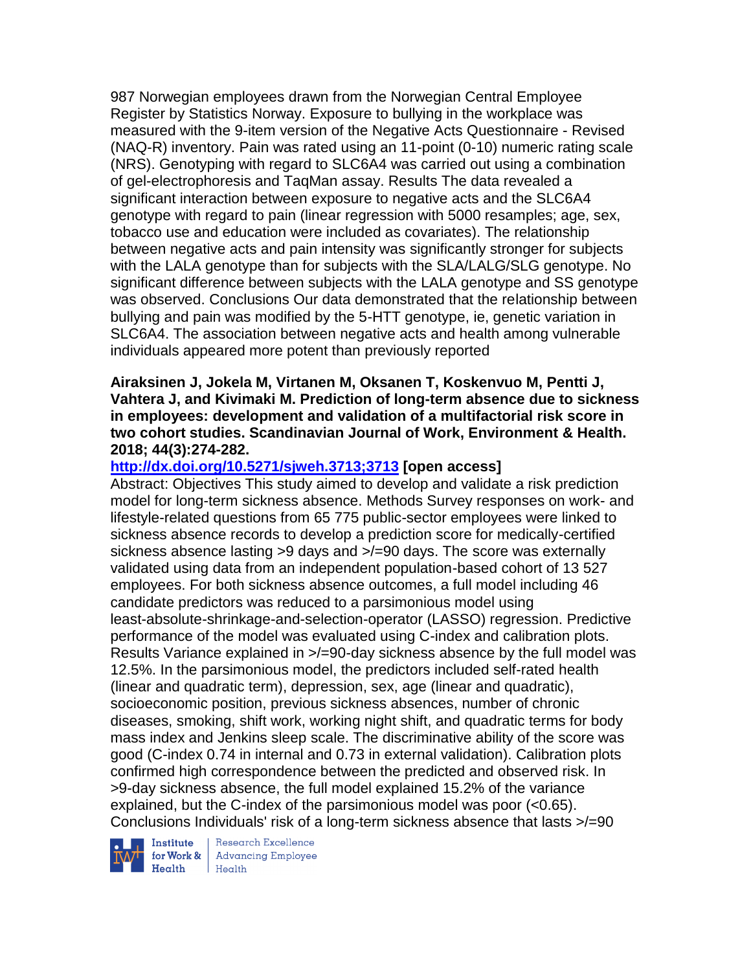987 Norwegian employees drawn from the Norwegian Central Employee Register by Statistics Norway. Exposure to bullying in the workplace was measured with the 9-item version of the Negative Acts Questionnaire - Revised (NAQ-R) inventory. Pain was rated using an 11-point (0-10) numeric rating scale (NRS). Genotyping with regard to SLC6A4 was carried out using a combination of gel-electrophoresis and TaqMan assay. Results The data revealed a significant interaction between exposure to negative acts and the SLC6A4 genotype with regard to pain (linear regression with 5000 resamples; age, sex, tobacco use and education were included as covariates). The relationship between negative acts and pain intensity was significantly stronger for subjects with the LALA genotype than for subjects with the SLA/LALG/SLG genotype. No significant difference between subjects with the LALA genotype and SS genotype was observed. Conclusions Our data demonstrated that the relationship between bullying and pain was modified by the 5-HTT genotype, ie, genetic variation in SLC6A4. The association between negative acts and health among vulnerable individuals appeared more potent than previously reported

### **Airaksinen J, Jokela M, Virtanen M, Oksanen T, Koskenvuo M, Pentti J, Vahtera J, and Kivimaki M. Prediction of long-term absence due to sickness in employees: development and validation of a multifactorial risk score in two cohort studies. Scandinavian Journal of Work, Environment & Health. 2018; 44(3):274-282.**

### **<http://dx.doi.org/10.5271/sjweh.3713;3713> [open access]**

Abstract: Objectives This study aimed to develop and validate a risk prediction model for long-term sickness absence. Methods Survey responses on work- and lifestyle-related questions from 65 775 public-sector employees were linked to sickness absence records to develop a prediction score for medically-certified sickness absence lasting >9 days and >/=90 days. The score was externally validated using data from an independent population-based cohort of 13 527 employees. For both sickness absence outcomes, a full model including 46 candidate predictors was reduced to a parsimonious model using least-absolute-shrinkage-and-selection-operator (LASSO) regression. Predictive performance of the model was evaluated using C-index and calibration plots. Results Variance explained in >/=90-day sickness absence by the full model was 12.5%. In the parsimonious model, the predictors included self-rated health (linear and quadratic term), depression, sex, age (linear and quadratic), socioeconomic position, previous sickness absences, number of chronic diseases, smoking, shift work, working night shift, and quadratic terms for body mass index and Jenkins sleep scale. The discriminative ability of the score was good (C-index 0.74 in internal and 0.73 in external validation). Calibration plots confirmed high correspondence between the predicted and observed risk. In >9-day sickness absence, the full model explained 15.2% of the variance explained, but the C-index of the parsimonious model was poor (<0.65). Conclusions Individuals' risk of a long-term sickness absence that lasts >/=90



Research Excellence for Work & | Advancing Employee  $H$ ealth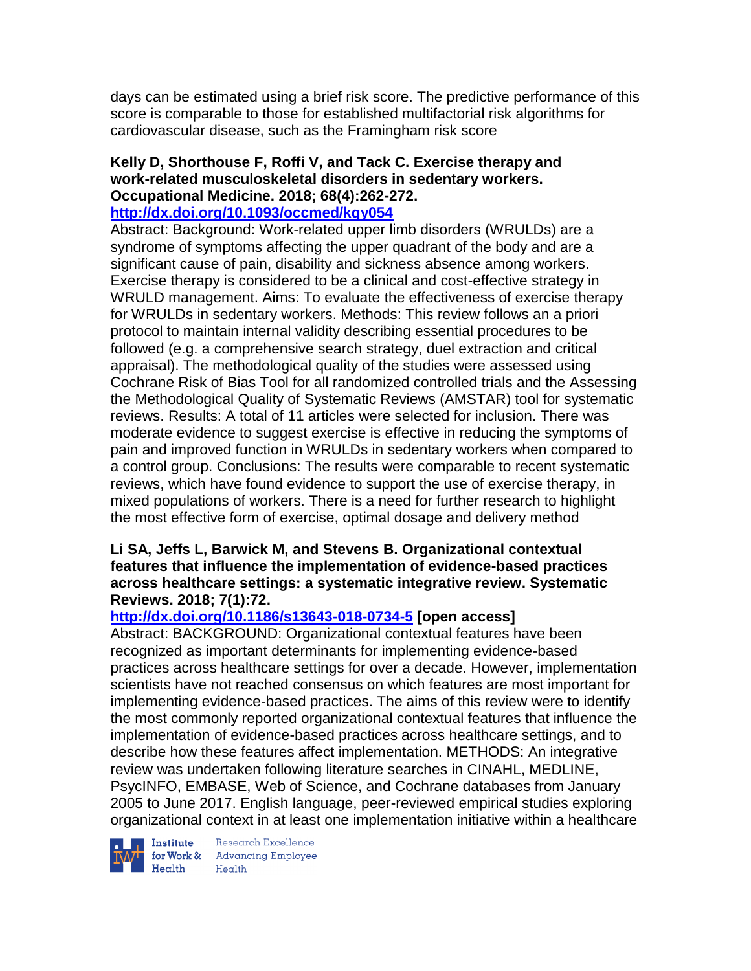days can be estimated using a brief risk score. The predictive performance of this score is comparable to those for established multifactorial risk algorithms for cardiovascular disease, such as the Framingham risk score

# **Kelly D, Shorthouse F, Roffi V, and Tack C. Exercise therapy and work-related musculoskeletal disorders in sedentary workers. Occupational Medicine. 2018; 68(4):262-272.**

### **<http://dx.doi.org/10.1093/occmed/kqy054>**

Abstract: Background: Work-related upper limb disorders (WRULDs) are a syndrome of symptoms affecting the upper quadrant of the body and are a significant cause of pain, disability and sickness absence among workers. Exercise therapy is considered to be a clinical and cost-effective strategy in WRULD management. Aims: To evaluate the effectiveness of exercise therapy for WRULDs in sedentary workers. Methods: This review follows an a priori protocol to maintain internal validity describing essential procedures to be followed (e.g. a comprehensive search strategy, duel extraction and critical appraisal). The methodological quality of the studies were assessed using Cochrane Risk of Bias Tool for all randomized controlled trials and the Assessing the Methodological Quality of Systematic Reviews (AMSTAR) tool for systematic reviews. Results: A total of 11 articles were selected for inclusion. There was moderate evidence to suggest exercise is effective in reducing the symptoms of pain and improved function in WRULDs in sedentary workers when compared to a control group. Conclusions: The results were comparable to recent systematic reviews, which have found evidence to support the use of exercise therapy, in mixed populations of workers. There is a need for further research to highlight the most effective form of exercise, optimal dosage and delivery method

### **Li SA, Jeffs L, Barwick M, and Stevens B. Organizational contextual features that influence the implementation of evidence-based practices across healthcare settings: a systematic integrative review. Systematic Reviews. 2018; 7(1):72.**

# **<http://dx.doi.org/10.1186/s13643-018-0734-5> [open access]**

Abstract: BACKGROUND: Organizational contextual features have been recognized as important determinants for implementing evidence-based practices across healthcare settings for over a decade. However, implementation scientists have not reached consensus on which features are most important for implementing evidence-based practices. The aims of this review were to identify the most commonly reported organizational contextual features that influence the implementation of evidence-based practices across healthcare settings, and to describe how these features affect implementation. METHODS: An integrative review was undertaken following literature searches in CINAHL, MEDLINE, PsycINFO, EMBASE, Web of Science, and Cochrane databases from January 2005 to June 2017. English language, peer-reviewed empirical studies exploring organizational context in at least one implementation initiative within a healthcare



| Research Excellence for Work & | Advancing Employee  $H$ ealth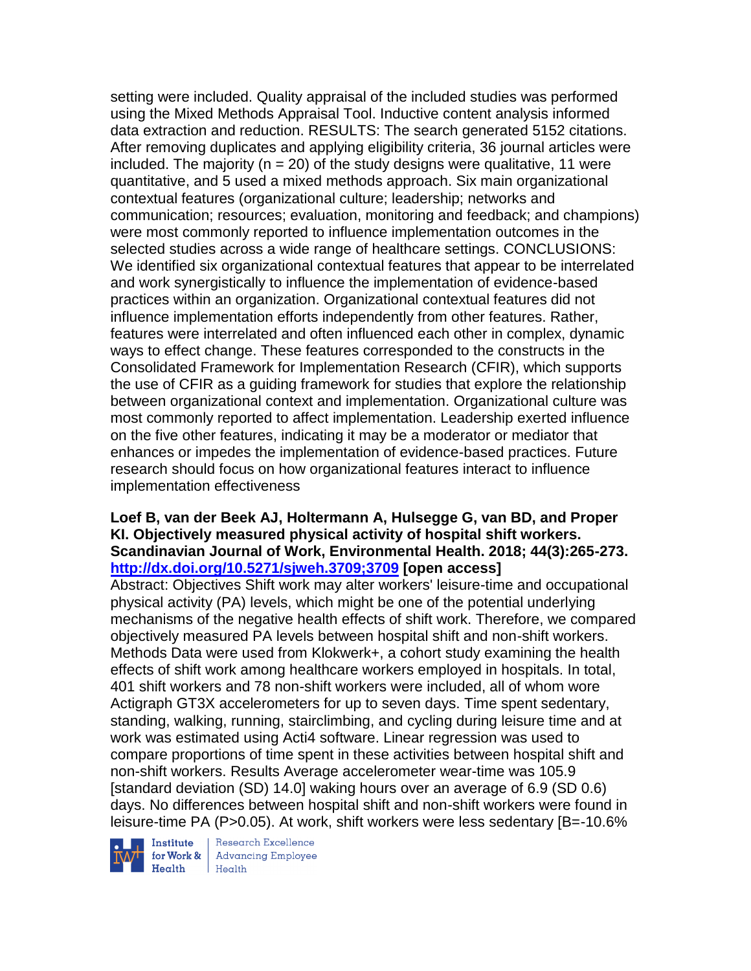setting were included. Quality appraisal of the included studies was performed using the Mixed Methods Appraisal Tool. Inductive content analysis informed data extraction and reduction. RESULTS: The search generated 5152 citations. After removing duplicates and applying eligibility criteria, 36 journal articles were included. The majority ( $n = 20$ ) of the study designs were qualitative, 11 were quantitative, and 5 used a mixed methods approach. Six main organizational contextual features (organizational culture; leadership; networks and communication; resources; evaluation, monitoring and feedback; and champions) were most commonly reported to influence implementation outcomes in the selected studies across a wide range of healthcare settings. CONCLUSIONS: We identified six organizational contextual features that appear to be interrelated and work synergistically to influence the implementation of evidence-based practices within an organization. Organizational contextual features did not influence implementation efforts independently from other features. Rather, features were interrelated and often influenced each other in complex, dynamic ways to effect change. These features corresponded to the constructs in the Consolidated Framework for Implementation Research (CFIR), which supports the use of CFIR as a guiding framework for studies that explore the relationship between organizational context and implementation. Organizational culture was most commonly reported to affect implementation. Leadership exerted influence on the five other features, indicating it may be a moderator or mediator that enhances or impedes the implementation of evidence-based practices. Future research should focus on how organizational features interact to influence implementation effectiveness

### **Loef B, van der Beek AJ, Holtermann A, Hulsegge G, van BD, and Proper KI. Objectively measured physical activity of hospital shift workers. Scandinavian Journal of Work, Environmental Health. 2018; 44(3):265-273. <http://dx.doi.org/10.5271/sjweh.3709;3709> [open access]**

Abstract: Objectives Shift work may alter workers' leisure-time and occupational physical activity (PA) levels, which might be one of the potential underlying mechanisms of the negative health effects of shift work. Therefore, we compared objectively measured PA levels between hospital shift and non-shift workers. Methods Data were used from Klokwerk+, a cohort study examining the health effects of shift work among healthcare workers employed in hospitals. In total, 401 shift workers and 78 non-shift workers were included, all of whom wore Actigraph GT3X accelerometers for up to seven days. Time spent sedentary, standing, walking, running, stairclimbing, and cycling during leisure time and at work was estimated using Acti4 software. Linear regression was used to compare proportions of time spent in these activities between hospital shift and non-shift workers. Results Average accelerometer wear-time was 105.9 [standard deviation (SD) 14.0] waking hours over an average of 6.9 (SD 0.6) days. No differences between hospital shift and non-shift workers were found in leisure-time PA (P>0.05). At work, shift workers were less sedentary [B=-10.6%



Research Excellence for Work & Advancing Employee  $H$ ealth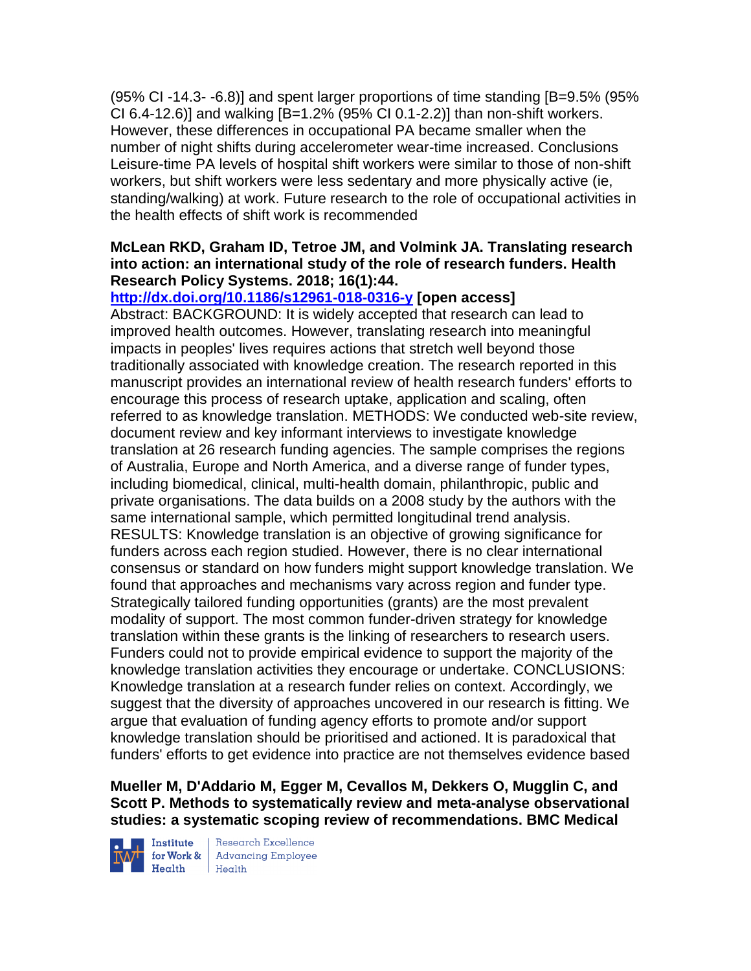(95% CI -14.3- -6.8)] and spent larger proportions of time standing [B=9.5% (95% CI 6.4-12.6)] and walking [B=1.2% (95% CI 0.1-2.2)] than non-shift workers. However, these differences in occupational PA became smaller when the number of night shifts during accelerometer wear-time increased. Conclusions Leisure-time PA levels of hospital shift workers were similar to those of non-shift workers, but shift workers were less sedentary and more physically active (ie, standing/walking) at work. Future research to the role of occupational activities in the health effects of shift work is recommended

# **McLean RKD, Graham ID, Tetroe JM, and Volmink JA. Translating research into action: an international study of the role of research funders. Health Research Policy Systems. 2018; 16(1):44.**

# **<http://dx.doi.org/10.1186/s12961-018-0316-y> [open access]**

Abstract: BACKGROUND: It is widely accepted that research can lead to improved health outcomes. However, translating research into meaningful impacts in peoples' lives requires actions that stretch well beyond those traditionally associated with knowledge creation. The research reported in this manuscript provides an international review of health research funders' efforts to encourage this process of research uptake, application and scaling, often referred to as knowledge translation. METHODS: We conducted web-site review, document review and key informant interviews to investigate knowledge translation at 26 research funding agencies. The sample comprises the regions of Australia, Europe and North America, and a diverse range of funder types, including biomedical, clinical, multi-health domain, philanthropic, public and private organisations. The data builds on a 2008 study by the authors with the same international sample, which permitted longitudinal trend analysis. RESULTS: Knowledge translation is an objective of growing significance for funders across each region studied. However, there is no clear international consensus or standard on how funders might support knowledge translation. We found that approaches and mechanisms vary across region and funder type. Strategically tailored funding opportunities (grants) are the most prevalent modality of support. The most common funder-driven strategy for knowledge translation within these grants is the linking of researchers to research users. Funders could not to provide empirical evidence to support the majority of the knowledge translation activities they encourage or undertake. CONCLUSIONS: Knowledge translation at a research funder relies on context. Accordingly, we suggest that the diversity of approaches uncovered in our research is fitting. We argue that evaluation of funding agency efforts to promote and/or support knowledge translation should be prioritised and actioned. It is paradoxical that funders' efforts to get evidence into practice are not themselves evidence based

**Mueller M, D'Addario M, Egger M, Cevallos M, Dekkers O, Mugglin C, and Scott P. Methods to systematically review and meta-analyse observational studies: a systematic scoping review of recommendations. BMC Medical** 



Research Excellence for Work & | Advancing Employee  $H$ ealth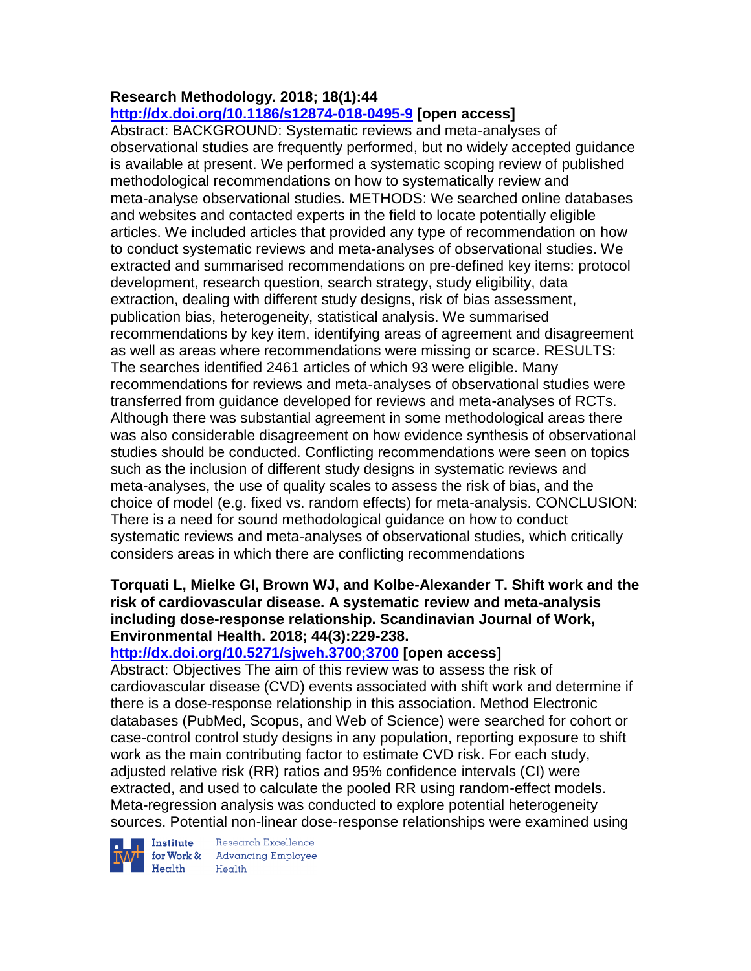#### **Research Methodology. 2018; 18(1):44 <http://dx.doi.org/10.1186/s12874-018-0495-9> [open access]**

Abstract: BACKGROUND: Systematic reviews and meta-analyses of observational studies are frequently performed, but no widely accepted guidance is available at present. We performed a systematic scoping review of published methodological recommendations on how to systematically review and meta-analyse observational studies. METHODS: We searched online databases and websites and contacted experts in the field to locate potentially eligible articles. We included articles that provided any type of recommendation on how to conduct systematic reviews and meta-analyses of observational studies. We extracted and summarised recommendations on pre-defined key items: protocol development, research question, search strategy, study eligibility, data extraction, dealing with different study designs, risk of bias assessment, publication bias, heterogeneity, statistical analysis. We summarised recommendations by key item, identifying areas of agreement and disagreement as well as areas where recommendations were missing or scarce. RESULTS: The searches identified 2461 articles of which 93 were eligible. Many recommendations for reviews and meta-analyses of observational studies were transferred from guidance developed for reviews and meta-analyses of RCTs. Although there was substantial agreement in some methodological areas there was also considerable disagreement on how evidence synthesis of observational studies should be conducted. Conflicting recommendations were seen on topics such as the inclusion of different study designs in systematic reviews and meta-analyses, the use of quality scales to assess the risk of bias, and the choice of model (e.g. fixed vs. random effects) for meta-analysis. CONCLUSION: There is a need for sound methodological guidance on how to conduct systematic reviews and meta-analyses of observational studies, which critically considers areas in which there are conflicting recommendations

# **Torquati L, Mielke GI, Brown WJ, and Kolbe-Alexander T. Shift work and the risk of cardiovascular disease. A systematic review and meta-analysis including dose-response relationship. Scandinavian Journal of Work, Environmental Health. 2018; 44(3):229-238.**

# **<http://dx.doi.org/10.5271/sjweh.3700;3700> [open access]**

Abstract: Objectives The aim of this review was to assess the risk of cardiovascular disease (CVD) events associated with shift work and determine if there is a dose-response relationship in this association. Method Electronic databases (PubMed, Scopus, and Web of Science) were searched for cohort or case-control control study designs in any population, reporting exposure to shift work as the main contributing factor to estimate CVD risk. For each study, adjusted relative risk (RR) ratios and 95% confidence intervals (CI) were extracted, and used to calculate the pooled RR using random-effect models. Meta-regression analysis was conducted to explore potential heterogeneity sources. Potential non-linear dose-response relationships were examined using



| Research Excellence for Work & | Advancing Employee  $H$ ealth